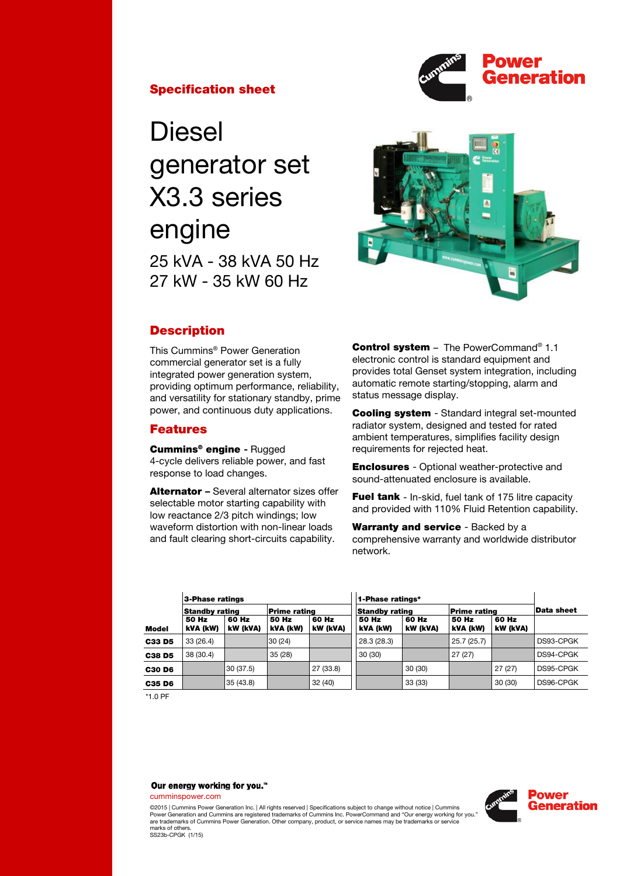



# **Diesel** generator set X3.3 series engine 25 kVA - 38 kVA 50 Hz 27 kW - 35 kW 60 Hz



## **Description**

This Cummins® Power Generation commercial generator set is a fully integrated power generation system, providing optimum performance, reliability, and versatility for stationary standby, prime power, and continuous duty applications.

## Features

Cummins® engine - Rugged 4-cycle delivers reliable power, and fast response to load changes.

Alternator – Several alternator sizes offer selectable motor starting capability with low reactance 2/3 pitch windings; low waveform distortion with non-linear loads and fault clearing short-circuits capability.

Control system - The PowerCommand® 1.1 electronic control is standard equipment and provides total Genset system integration, including automatic remote starting/stopping, alarm and status message display.

Cooling system - Standard integral set-mounted radiator system, designed and tested for rated ambient temperatures, simplifies facility design requirements for rejected heat.

Enclosures - Optional weather-protective and sound-attenuated enclosure is available.

**Fuel tank** - In-skid, fuel tank of 175 litre capacity and provided with 110% Fluid Retention capability.

Warranty and service - Backed by a comprehensive warranty and worldwide distributor network.

|               | 3-Phase ratings       |                   |                     |                   | 1-Phase ratings*      |                   |                     |                   |            |
|---------------|-----------------------|-------------------|---------------------|-------------------|-----------------------|-------------------|---------------------|-------------------|------------|
|               | <b>Standby rating</b> |                   | <b>Prime rating</b> |                   | <b>Standby rating</b> |                   | <b>Prime rating</b> |                   | Data sheet |
| <b>Model</b>  | 50 Hz<br>kVA (kW)     | 60 Hz<br>kW (kVA) | 50 Hz<br>kVA (kW)   | 60 Hz<br>kW (kVA) | 50 Hz<br>kVA (kW)     | 60 Hz<br>kW (kVA) | 50 Hz<br>kVA (kW)   | 60 Hz<br>kW (kVA) |            |
| <b>C33 D5</b> | 33(26.4)              |                   | 30(24)              |                   | 28.3 (28.3)           |                   | 25.7 (25.7)         |                   | DS93-CPGK  |
| <b>C38 D5</b> | 38 (30.4)             |                   | 35(28)              |                   | 30(30)                |                   | 27(27)              |                   | DS94-CPGK  |
| C30 D6        |                       | 30 (37.5)         |                     | 27 (33.8)         |                       | 30 (30)           |                     | 27(27)            | DS95-CPGK  |
| C35 D6        |                       | 35(43.8)          |                     | 32(40)            |                       | 33 (33)           |                     | 30 (30)           | DS96-CPGK  |

\*1.0 PF

#### Our energy working for you.™

cumminspower.com

©2015 | Cummins Power Generation Inc. | All rights reserved | Specifications subject to change without notice | Cummins<br>Power Generation and Cummins are registered trademarks of Cummins Inc. PowerCommand and "Our energy wo are trademarks of Cummins Power Generation. Other company, product, or service names may be trademarks or service marks of others. SS23b-CPGK (1/15)

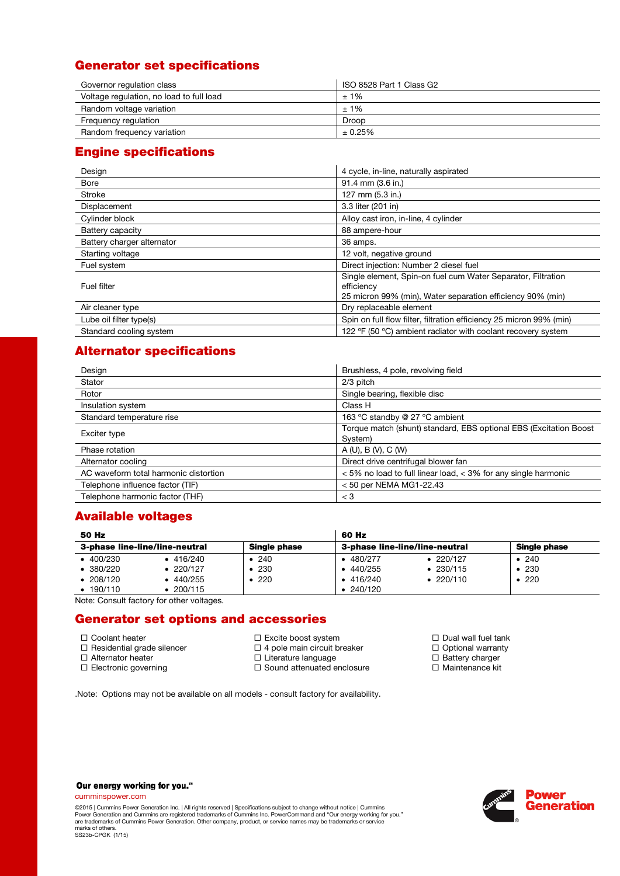# Generator set specifications

| Governor regulation class                | ISO 8528 Part 1 Class G2 |  |  |
|------------------------------------------|--------------------------|--|--|
| Voltage regulation, no load to full load | ±1%                      |  |  |
| Random voltage variation                 | ±1%                      |  |  |
| Frequency regulation                     | Droop                    |  |  |
| Random frequency variation               | $± 0.25\%$               |  |  |

# Engine specifications

| Design                     | 4 cycle, in-line, naturally aspirated                                                                                                    |
|----------------------------|------------------------------------------------------------------------------------------------------------------------------------------|
| <b>Bore</b>                | 91.4 mm (3.6 in.)                                                                                                                        |
| Stroke                     | 127 mm (5.3 in.)                                                                                                                         |
| Displacement               | 3.3 liter (201 in)                                                                                                                       |
| Cylinder block             | Alloy cast iron, in-line, 4 cylinder                                                                                                     |
| Battery capacity           | 88 ampere-hour                                                                                                                           |
| Battery charger alternator | 36 amps.                                                                                                                                 |
| Starting voltage           | 12 volt, negative ground                                                                                                                 |
| Fuel system                | Direct injection: Number 2 diesel fuel                                                                                                   |
| Fuel filter                | Single element, Spin-on fuel cum Water Separator, Filtration<br>efficiency<br>25 micron 99% (min), Water separation efficiency 90% (min) |
| Air cleaner type           | Dry replaceable element                                                                                                                  |
| Lube oil filter type(s)    | Spin on full flow filter, filtration efficiency 25 micron 99% (min)                                                                      |
| Standard cooling system    | 122 °F (50 °C) ambient radiator with coolant recovery system                                                                             |

# Alternator specifications

| Design                                | Brushless, 4 pole, revolving field                                           |
|---------------------------------------|------------------------------------------------------------------------------|
| Stator                                | 2/3 pitch                                                                    |
| Rotor                                 | Single bearing, flexible disc                                                |
| Insulation system                     | Class H                                                                      |
| Standard temperature rise             | 163 °C standby @ 27 °C ambient                                               |
| Exciter type                          | Torque match (shunt) standard, EBS optional EBS (Excitation Boost<br>System) |
| Phase rotation                        | A(U), B(V), C(W)                                                             |
| Alternator cooling                    | Direct drive centrifugal blower fan                                          |
| AC waveform total harmonic distortion | <5% no load to full linear load, <3% for any single harmonic                 |
| Telephone influence factor (TIF)      | $<$ 50 per NEMA MG1-22.43                                                    |
| Telephone harmonic factor (THF)       | $<$ 3                                                                        |

# Available voltages

| 50 Hz                          |                   |              | 60 Hz             |                                |                     |  |  |  |
|--------------------------------|-------------------|--------------|-------------------|--------------------------------|---------------------|--|--|--|
| 3-phase line-line/line-neutral |                   | Single phase |                   | 3-phase line-line/line-neutral | <b>Single phase</b> |  |  |  |
| $-400/230$                     | 416/240           | • 240        | $\bullet$ 480/277 | $\bullet$ 220/127              | $\bullet$ 240       |  |  |  |
| 380/220                        | $\bullet$ 220/127 | $\cdot$ 230  | $\bullet$ 440/255 | $\bullet$ 230/115              | - 230               |  |  |  |
| 208/120                        | 440/255           | • 220        | $\bullet$ 416/240 | $\cdot$ 220/110                | • 220               |  |  |  |
| 190/110                        | 200/115           |              | $\bullet$ 240/120 |                                |                     |  |  |  |

Note: Consult factory for other voltages.

## Generator set options and accessories

□ Coolant heater  $\Box$  Residential grade silencer □ Alternator heater

□ Electronic governing

- □ Excite boost system
- $\Box$  4 pole main circuit breaker
	- □ Literature language
	- □ Sound attenuated enclosure

.Note: Options may not be available on all models - consult factory for availability.

- $\square$  Dual wall fuel tank
- $\Box$  Optional warranty
- $\Box$  Battery charger
- □ Maintenance kit

Our energy working for you.™

cumminspower.com

©2015 | Cummins Power Generation Inc. | All rights reserved | Specifications subject to change without notice | Cummins<br>Power Generation and Cummins are registered trademarks of Cummins Inc. PowerCommand and "Our energy wo are trademarks of Cummins Power Generation. Other company, product, or service names may be trademarks or service marks of others. SS23b-CPGK (1/15)

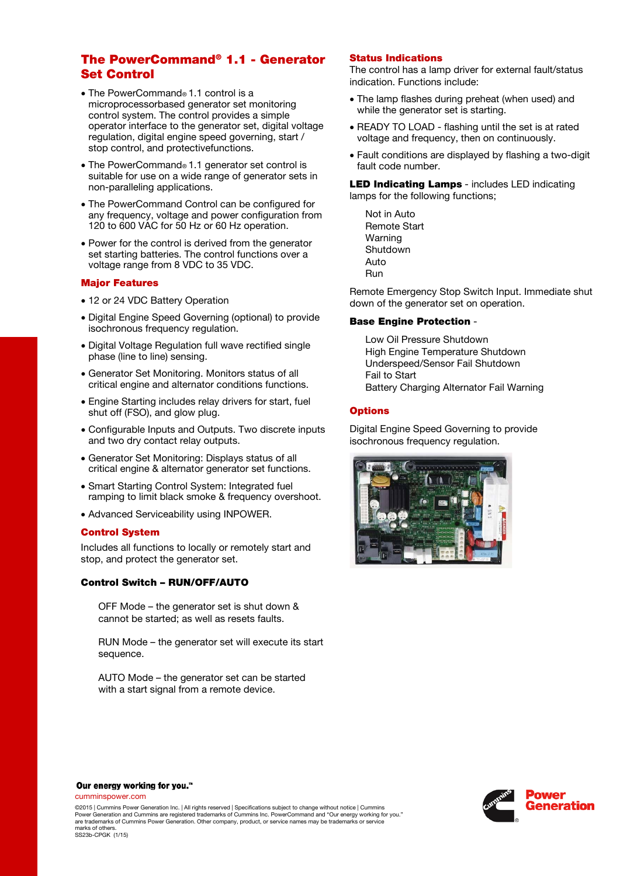## The PowerCommand® 1.1 - Generator Set Control

- The PowerCommand® 1.1 control is a microprocessorbased generator set monitoring control system. The control provides a simple operator interface to the generator set, digital voltage regulation, digital engine speed governing, start / stop control, and protectivefunctions.
- The PowerCommand® 1.1 generator set control is suitable for use on a wide range of generator sets in non-paralleling applications.
- The PowerCommand Control can be configured for any frequency, voltage and power configuration from 120 to 600 VAC for 50 Hz or 60 Hz operation.
- Power for the control is derived from the generator set starting batteries. The control functions over a voltage range from 8 VDC to 35 VDC.

#### Major Features

- 12 or 24 VDC Battery Operation
- Digital Engine Speed Governing (optional) to provide isochronous frequency regulation.
- Digital Voltage Regulation full wave rectified single phase (line to line) sensing.
- Generator Set Monitoring. Monitors status of all critical engine and alternator conditions functions.
- Engine Starting includes relay drivers for start, fuel shut off (FSO), and glow plug.
- Configurable Inputs and Outputs. Two discrete inputs and two dry contact relay outputs.
- Generator Set Monitoring: Displays status of all critical engine & alternator generator set functions.
- Smart Starting Control System: Integrated fuel ramping to limit black smoke & frequency overshoot.
- Advanced Serviceability using INPOWER.

## Control System

Includes all functions to locally or remotely start and stop, and protect the generator set.

## Control Switch – RUN/OFF/AUTO

OFF Mode – the generator set is shut down & cannot be started; as well as resets faults.

RUN Mode – the generator set will execute its start sequence.

AUTO Mode – the generator set can be started with a start signal from a remote device.

#### Status Indications

The control has a lamp driver for external fault/status indication. Functions include:

- The lamp flashes during preheat (when used) and while the generator set is starting.
- READY TO LOAD flashing until the set is at rated voltage and frequency, then on continuously.
- Fault conditions are displayed by flashing a two-digit fault code number.

LED Indicating Lamps - includes LED indicating lamps for the following functions;

Not in Auto Remote Start Warning Shutdown **Auto** Run

Remote Emergency Stop Switch Input. Immediate shut down of the generator set on operation.

#### Base Engine Protection -

Low Oil Pressure Shutdown High Engine Temperature Shutdown Underspeed/Sensor Fail Shutdown Fail to Start Battery Charging Alternator Fail Warning

## **Options**

Digital Engine Speed Governing to provide isochronous frequency regulation.





cumminspower.com

©2015 | Cummins Power Generation Inc. | All rights reserved | Specifications subject to change without notice | Cummins<br>Power Generation and Cummins are registered trademarks of Cummins Inc. PowerCommand and "Our energy wo are trademarks of Cummins Power Generation. Other company, product, or service names may be trademarks or service marks of others. marks of others. SS23b-CPGK (1/15)